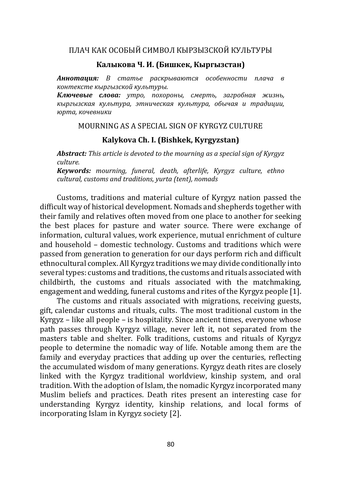# ПЛАЧ КАК ОСОБЫЙ СИМВОЛ КЫРЗЫЗСКОЙ КУЛЬТУРЫ

#### **Калыкова Ч. И. (Бишкек, Кыргызстан)**

*Аннотация: В статье раскрываются особенности плача в контексте кыргызской культуры.*

*Ключевые слова: утро, похороны, смерть, загробная жизнь, кыргызская культура, этническая культура, обычая и традиции, юрта, кочевники*

### MOURNING AS A SPECIAL SIGN OF KYRGYZ CULTURE

## **Kalykova Ch. I. (Bishkek, Kyrgyzstan)**

*Abstract: This article is devoted to the mourning as a special sign of Kyrgyz culture.*

*Keywords: mourning, funeral, death, afterlife, Kyrgyz culture, ethno cultural, customs and traditions, yurta (tent), nomads*

Customs, traditions and material culture of Kyrgyz nation passed the difficult way of historical development. Nomads and shepherds together with their family and relatives often moved from one place to another for seeking the best places for pasture and water source. There were exchange of information, cultural values, work experience, mutual enrichment of culture and household – domestic technology. Customs and traditions which were passed from generation to generation for our days perform rich and difficult ethnocultural complex. All Kyrgyz traditions we may divide conditionally into several types: customs and traditions[, the customs and rituals associated with](http://www.kyrgyzstantravel.info/culture/rites.htm#ex1)  [childbirth,](http://www.kyrgyzstantravel.info/culture/rites.htm#ex1) [the customs and rituals associated with the matchmaking,](http://www.kyrgyzstantravel.info/culture/rites.htm#ex2)  [engagement and wedding, f](http://www.kyrgyzstantravel.info/culture/rites.htm#ex2)uneral customs and rites of the Kyrgyz people [1].

The customs and rituals associated with migrations, receiving guests, gift, calendar customs and rituals, cults. The most traditional custom in the Kyrgyz – like all people – is hospitality. Since ancient times, everyone whose path passes through Kyrgyz village, never left it, not separated from the masters table and shelter. Folk traditions, customs and rituals of Kyrgyz people to determine the nomadic way of life. Notable among them are the family and everyday practices that adding up over the centuries, reflecting the accumulated wisdom of many generations. Kyrgyz death rites are closely linked with the Kyrgyz traditional worldview, kinship system, and oral tradition. With the adoption of Islam, the nomadic Kyrgyz incorporated many Muslim beliefs and practices. Death rites present an interesting case for understanding Kyrgyz identity, kinship relations, and local forms of incorporating Islam in Kyrgyz society [2].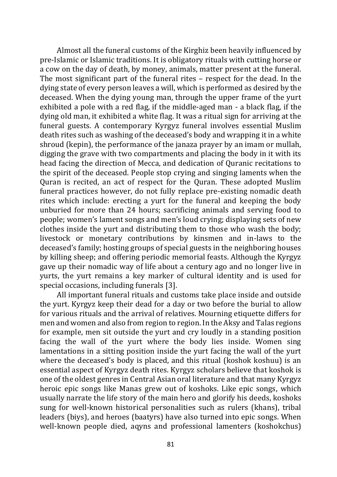Almost all the funeral customs of the Kirghiz been heavily influenced by pre-Islamic or Islamic traditions. It is obligatory rituals with cutting horse or a cow on the day of death, by money, animals, matter present at the funeral. The most significant part of the funeral rites – respect for the dead. In the dying state of every person leaves a will, which is performed as desired by the deceased. When the dying young man, through the upper frame of the yurt exhibited a pole with a red flag, if the middle-aged man - a black flag, if the dying old man, it exhibited a white flag. It was a ritual sign for arriving at the funeral guests. A contemporary Kyrgyz funeral involves essential Muslim death rites such as washing of the deceased's body and wrapping it in a white shroud (kepin), the performance of the janaza prayer by an imam or mullah, digging the grave with two compartments and placing the body in it with its head facing the direction of Mecca, and dedication of Quranic recitations to the spirit of the deceased. People stop crying and singing laments when the Quran is recited, an act of respect for the Quran. These adopted Muslim funeral practices however, do not fully replace pre-existing nomadic death rites which include: erecting a yurt for the funeral and keeping the body unburied for more than 24 hours; sacrificing animals and serving food to people; women's lament songs and men's loud crying; displaying sets of new clothes inside the yurt and distributing them to those who wash the body; livestock or monetary contributions by kinsmen and in-laws to the deceased's family; hosting groups of special guests in the neighboring houses by killing sheep; and offering periodic memorial feasts. Although the Kyrgyz gave up their nomadic way of life about a century ago and no longer live in yurts, the yurt remains a key marker of cultural identity and is used for special occasions, including funerals [3].

All important funeral rituals and customs take place inside and outside the yurt. Kyrgyz keep their dead for a day or two before the burial to allow for various rituals and the arrival of relatives. Mourning etiquette differs for men and women and also from region to region. In the Aksy and Talas regions for example, men sit outside the yurt and cry loudly in a standing position facing the wall of the yurt where the body lies inside. Women sing lamentations in a sitting position inside the yurt facing the wall of the yurt where the deceased's body is placed, and this ritual (koshok koshuu) is an essential aspect of Kyrgyz death rites. Kyrgyz scholars believe that koshok is one of the oldest genres in Central Asian oral literature and that many Kyrgyz heroic epic songs like Manas grew out of koshoks. Like epic songs, which usually narrate the life story of the main hero and glorify his deeds, koshoks sung for well-known historical personalities such as rulers (khans), tribal leaders (biys), and heroes (baatyrs) have also turned into epic songs. When well-known people died, aqyns and professional lamenters (koshokchus)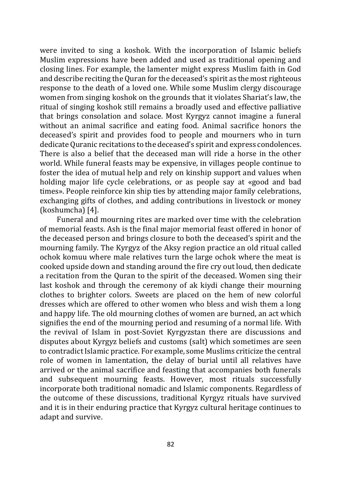were invited to sing a koshok. With the incorporation of Islamic beliefs Muslim expressions have been added and used as traditional opening and closing lines. For example, the lamenter might express Muslim faith in God and describe reciting the Quran for the deceased's spirit as the most righteous response to the death of a loved one. While some Muslim clergy discourage women from singing koshok on the grounds that it violates Shariat's law, the ritual of singing koshok still remains a broadly used and effective palliative that brings consolation and solace. Most Kyrgyz cannot imagine a funeral without an animal sacrifice and eating food. Animal sacrifice honors the deceased's spirit and provides food to people and mourners who in turn dedicate Quranic recitations to the deceased's spirit and express condolences. There is also a belief that the deceased man will ride a horse in the other world. While funeral feasts may be expensive, in villages people continue to foster the idea of mutual help and rely on kinship support and values when holding major life cycle celebrations, or as people say at «good and bad times». People reinforce kin ship ties by attending major family celebrations, exchanging gifts of clothes, and adding contributions in livestock or money (koshumcha) [4].

Funeral and mourning rites are marked over time with the celebration of memorial feasts. Ash is the final major memorial feast offered in honor of the deceased person and brings closure to both the deceased's spirit and the mourning family. The Kyrgyz of the Aksy region practice an old ritual called ochok komuu where male relatives turn the large ochok where the meat is cooked upside down and standing around the fire cry out loud, then dedicate a recitation from the Quran to the spirit of the deceased. Women sing their last koshok and through the ceremony of ak kiydi change their mourning clothes to brighter colors. Sweets are placed on the hem of new colorful dresses which are offered to other women who bless and wish them a long and happy life. The old mourning clothes of women are burned, an act which signifies the end of the mourning period and resuming of a normal life. With the revival of Islam in post-Soviet Kyrgyzstan there are discussions and disputes about Kyrgyz beliefs and customs (salt) which sometimes are seen to contradict Islamic practice. For example, some Muslims criticize the central role of women in lamentation, the delay of burial until all relatives have arrived or the animal sacrifice and feasting that accompanies both funerals and subsequent mourning feasts. However, most rituals successfully incorporate both traditional nomadic and Islamic components. Regardless of the outcome of these discussions, traditional Kyrgyz rituals have survived and it is in their enduring practice that Kyrgyz cultural heritage continues to adapt and survive.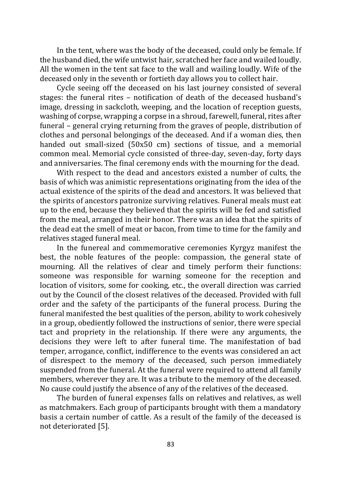In the tent, where was the body of the deceased, could only be female. If the husband died, the wife untwist hair, scratched her face and wailed loudly. All the women in the tent sat face to the wall and wailing loudly. Wife of the deceased only in the seventh or fortieth day allows you to collect hair.

Cycle seeing off the deceased on his last journey consisted of several stages: the funeral rites – notification of death of the deceased husband's image, dressing in sackcloth, weeping, and the location of reception guests, washing of corpse, wrapping a corpse in a shroud, farewell, funeral, rites after funeral – general crying returning from the graves of people, distribution of clothes and personal belongings of the deceased. And if a woman dies, then handed out small-sized (50x50 cm) sections of tissue, and a memorial common meal. Memorial cycle consisted of three-day, seven-day, forty days and anniversaries. The final ceremony ends with the mourning for the dead.

With respect to the dead and ancestors existed a number of cults, the basis of which was animistic representations originating from the idea of the actual existence of the spirits of the dead and ancestors. It was believed that the spirits of ancestors patronize surviving relatives. Funeral meals must eat up to the end, because they believed that the spirits will be fed and satisfied from the meal, arranged in their honor. There was an idea that the spirits of the dead eat the smell of meat or bacon, from time to time for the family and relatives staged funeral meal.

In the funereal and commemorative ceremonies Kyrgyz manifest the best, the noble features of the people: compassion, the general state of mourning. All the relatives of clear and timely perform their functions: someone was responsible for warning someone for the reception and location of visitors, some for cooking, etc., the overall direction was carried out by the Council of the closest relatives of the deceased. Provided with full order and the safety of the participants of the funeral process. During the funeral manifested the best qualities of the person, ability to work cohesively in a group, obediently followed the instructions of senior, there were special tact and propriety in the relationship. If there were any arguments, the decisions they were left to after funeral time. The manifestation of bad temper, arrogance, conflict, indifference to the events was considered an act of disrespect to the memory of the deceased, such person immediately suspended from the funeral. At the funeral were required to attend all family members, wherever they are. It was a tribute to the memory of the deceased. No cause could justify the absence of any of the relatives of the deceased.

The burden of funeral expenses falls on relatives and relatives, as well as matchmakers. Each group of participants brought with them a mandatory basis a certain number of cattle. As a result of the family of the deceased is not deteriorated [5].